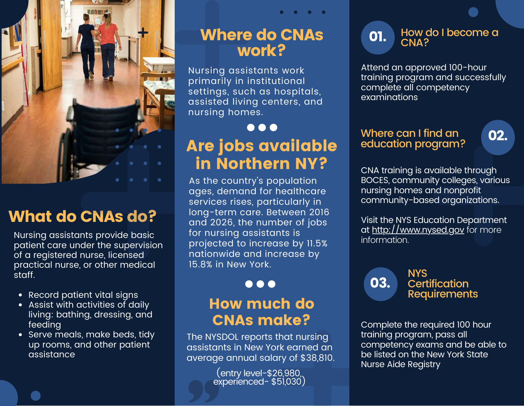

# What do CNAs do?

Nursing assistants provide basic patient care under the supervision of a registered nurse, licensed practical nurse, or other medical staff.

- Record patient vital signs
- Assist with activities of daily living: bathing, dressing, and feeding
- Serve meals, make beds, tidy up rooms, and other patient assistance

## Where do CNAs work?

Nursing assistants work primarily in institutional settings, such as hospitals, assisted living centers, and nursing homes.

## ... Are jobs available in Northern NY?

As the country's population ages, demand for healthcare services rises, particularly in long-term care. Between 2016 and 2026, the number of jobs for nursing assistants is projected to increase by 11.5% nationwide and increase by 15.8% in New York.

#### $\bullet\bullet\bullet$

### How much do CNAs make?

The NYSDOL reports that nursing assistants in New York earned an average annual salary of \$38,810.

(entry level-\$26,980, experienced- \$51,030)

**01.** How do I become a CNA?

Attend an approved 100-hour training program and successfully complete all competency examinations

#### Where can I find an Where can I find an **02.**<br>education program?

CNA training is available through BOCES, community colleges, various nursing homes and nonprofit community-based organizations.

Visit the NYS Education Department at [http://www.nysed.gov](http://www.nysed.gov/) for more information.



Complete the required 100 hour training program, pass all competency exams and be able to be listed on the New York State Nurse Aide Registry